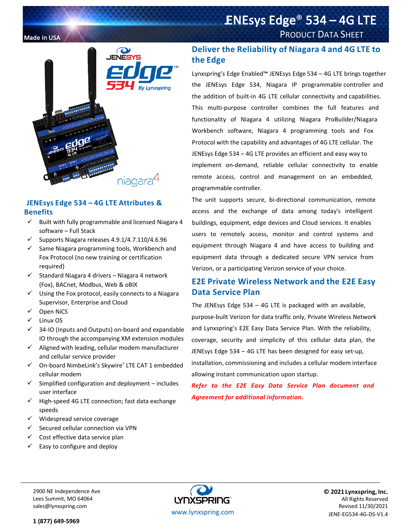# Made in USA PRODUCT DATA SHEET



## **JENEsys Edge 534 – 4G LTE Attributes & Benefits**

- $\checkmark$  Built with fully programmable and licensed Niagara 4 software – Full Stack
- $\checkmark$  Supports Niagara releases 4.9.1/4.7.110/4.6.96
- $\checkmark$  Same Niagara programming tools, Workbench and Fox Protocol (no new training or certification required)
- $\checkmark$  Standard Niagara 4 drivers Niagara 4 network (Fox), BACnet, Modbus, Web & oBIX
- $\checkmark$  Using the Fox protocol, easily connects to a Niagara Supervisor, Enterprise and Cloud
- $\checkmark$  Open NiCS
- $\checkmark$  Linux OS
- $\checkmark$  34-IO (Inputs and Outputs) on-board and expandable IO through the accompanying XM extension modules
- $\checkmark$  Aligned with leading, cellular modem manufacturer and cellular service provider
- On-board NimbeLink's Skywire® LTE CAT 1 embedded cellular modem
- $\checkmark$  Simplified configuration and deployment includes user interface
- $\checkmark$  High-speed 4G LTE connection; fast data exchange speeds
- $\checkmark$  Widespread service coverage
- $\checkmark$  Secured cellular connection via VPN
- $\checkmark$  Cost effective data service plan
- $\checkmark$  Easy to configure and deploy

# **Deliver the Reliability of Niagara 4 and 4G LTE to the Edge**

ENEsys Edge<sup>®</sup> 534 – 4G LTE

Lynxspring's Edge Enabled™ JENEsys Edge 534 – 4G LTE brings together the JENEsys Edge 534, Niagara IP programmable controller and the addition of built-in 4G LTE cellular connectivity and capabilities. This multi-purpose controller combines the full features and functionality of Niagara 4 utilizing Niagara ProBuilder/Niagara Workbench software, Niagara 4 programming tools and Fox Protocol with the capability and advantages of 4G LTE cellular. The JENEsys Edge 534 – 4G LTE provides an efficient and easy way to implement on-demand, reliable cellular connectivity to enable remote access, control and management on an embedded, programmable controller.

The unit supports secure, bi-directional communication, remote access and the exchange of data among today's intelligent buildings, equipment, edge devices and Cloud services. It enables users to remotely access, monitor and control systems and equipment through Niagara 4 and have access to building and equipment data through a dedicated secure VPN service from Verizon, or a participating Verizon service of your choice.

# **E2E Private Wireless Network and the E2E Easy Data Service Plan**

The JENEsys Edge 534 – 4G LTE is packaged with an available, purpose-built Verizon for data traffic only, Private Wireless Network and Lynxspring's E2E Easy Data Service Plan. With the reliability, coverage, security and simplicity of this cellular data plan, the JENEsys Edge 534 – 4G LTE has been designed for easy set-up, installation, commissioning and includes a cellular modem interface allowing instant communication upon startup.

*Refer to the E2E Easy Data Service Plan document and Agreement for additional information.* 

2900 NE Independence Ave Lees Summit, MO 64064 sales@lynxspring.com



**© 2021 Lynxspring, Inc.** All Rights Reserved Revised 11/30/2021 JENE-EG534-4G-DS-V1.4

**1 (877) 649-5969**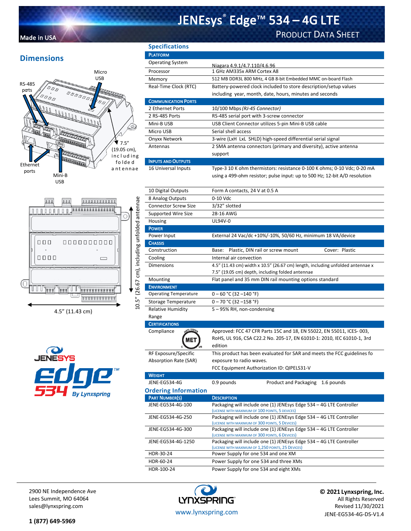# JENEsys® Edge™ 534 – 4G LTE

# Made in USA PRODUCT DATA SHEET

# **Dimensions**





10.5" (26.67 cm), including unfolded antennae

10.5" (26.67 cm), including unfolded antennae

4.5" (11.43 cm)



| <b>Specifications</b>      |                                                                                                                             |
|----------------------------|-----------------------------------------------------------------------------------------------------------------------------|
| <b>PLATFORM</b>            |                                                                                                                             |
| <b>Operating System</b>    | Niagara 4.9.1/4.7.110/4.6.96                                                                                                |
| Processor                  | 1 GHz AM335x ARM Cortex A8                                                                                                  |
| Memory                     | 512 MB DDR3L 800 MHz, 4 GB 8-bit Embedded MMC on-board Flash                                                                |
| Real-Time Clock (RTC)      | Battery-powered clock included to store description/setup values<br>including year, month, date, hours, minutes and seconds |
| <b>COMMUNICATION PORTS</b> |                                                                                                                             |
| 2 Ethernet Ports           | 10/100 Mbps (RJ-45 Connector)                                                                                               |
| 2 RS-485 Ports             | RS-485 serial port with 3-screw connector                                                                                   |
| Mini-B USB                 | USB Client Connector utilizes 5-pin Mini-B USB cable                                                                        |
| Micro USB                  | Serial shell access                                                                                                         |
| Onyxx Network              | 3-wire (LxH LxL SHLD) high-speed differential serial signal                                                                 |
| Antennas                   | 2 SMA antenna connectors (primary and diversity), active antenna                                                            |
|                            | support                                                                                                                     |
| <b>INPUTS AND OUTPUTS</b>  |                                                                                                                             |
|                            | $\tau$ a said is in the second and a second page of $\tau$                                                                  |

16 Universal Inputs Type-3 10 K ohm thermistors: resistance 0-100 K ohms; 0-10 Vdc; 0-20 mA using a 499-ohm resistor; pulse input: up to 500 Hz; 12-bit A/D resolution

| 10 Digital Outputs               | Form A contacts, 24 V at 0.5 A                                                                                         |
|----------------------------------|------------------------------------------------------------------------------------------------------------------------|
| 8 Analog Outputs                 | 0-10 Vdc                                                                                                               |
| <b>Connector Screw Size</b>      | 3/32" slotted                                                                                                          |
| <b>Supported Wire Size</b>       | 28-16 AWG                                                                                                              |
| Housing                          | UL94V-0                                                                                                                |
| <b>POWER</b>                     |                                                                                                                        |
| Power Input                      | External 24 Vac/dc +10%/-10%, 50/60 Hz, minimum 18 VA/device                                                           |
| <b>CHASSIS</b>                   |                                                                                                                        |
| Construction                     | Cover: Plastic<br>Plastic, DIN rail or screw mount<br>Base:                                                            |
| Cooling                          | Internal air convection                                                                                                |
| <b>Dimensions</b>                | 4.5" (11.43 cm) width x 10.5" (26.67 cm) length, including unfolded antennae x                                         |
|                                  | 7.5" (19.05 cm) depth, including folded antennae                                                                       |
| Mounting                         | Flat panel and 35 mm DIN rail mounting options standard                                                                |
| <b>ENVIRONMENT</b>               |                                                                                                                        |
| <b>Operating Temperature</b>     | $0 - 60$ °C (32 -140 °F)                                                                                               |
| <b>Storage Temperature</b>       | $0 - 70$ °C (32 -158 °F)                                                                                               |
| <b>Relative Humidity</b>         | 5-95% RH, non-condensing                                                                                               |
| Range                            |                                                                                                                        |
| <b>CERTIFICATIONS</b>            |                                                                                                                        |
| <b>VRTL LISTED</b><br>Compliance | Approved: FCC 47 CFR Parts 15C and 18, EN 55022, EN 55011, ICES-003,                                                   |
| <b>MET</b>                       | RoHS, UL 916, CSA C22.2 No. 205-17, EN 61010-1: 2010, IEC 61010-1, 3rd                                                 |
|                                  | edition                                                                                                                |
| RF Exposure/Specific             | This product has been evaluated for SAR and meets the FCC guidelines fo                                                |
| Absorption Rate (SAR)            | exposure to radio waves.                                                                                               |
|                                  | FCC Equipment Authorization ID: QIPELS31-V                                                                             |
| <b>WEIGHT</b>                    |                                                                                                                        |
| JENE-EG534-4G                    | 0.9 pounds<br>Product and Packaging<br>1.6 pounds                                                                      |
| <b>Ordering Information</b>      |                                                                                                                        |
| <b>PART NUMBER(S)</b>            | <b>DESCRIPTION</b>                                                                                                     |
| JENE-EG534-4G-100                | Packaging will include one (1) JENEsys Edge 534 - 4G LTE Controller                                                    |
|                                  | (LICENSE WITH MAXIMUM OF 100 POINTS, 5 DEVICES)                                                                        |
| JENE-EG534-4G-250                | Packaging will include one (1) JENEsys Edge 534 - 4G LTE Controller<br>(LICENSE WITH MAXIMUM OF 300 POINTS, 5 DEVICES) |
| JENE-EG534-4G-300                | Packaging will include one (1) JENEsys Edge 534 - 4G LTE Controller                                                    |
|                                  | (LICENSE WITH MAXIMUM OF 300 POINTS, 6 DEVICES)                                                                        |
| JENE-EG534-4G-1250               | Packaging will include one (1) JENEsys Edge 534 - 4G LTE Controller                                                    |
|                                  | (LICENSE WITH MAXIMUM OF 1,250 POINTS, 25 DEVICES)                                                                     |
| HDR-30-24                        | Power Supply for one 534 and one XM                                                                                    |
| HDR-60-24                        | Power Supply for one 534 and three XMs                                                                                 |
| HDR-100-24                       | Power Supply for one 534 and eight XMs                                                                                 |

2900 NE Independence Ave Lees Summit, MO 64064 sales@lynxspring.com



**© 2021 Lynxspring, Inc.** All Rights Reserved Revised 11/30/2021 JENE-EG534-4G-DS-V1.4

**1 (877) 649-5969**